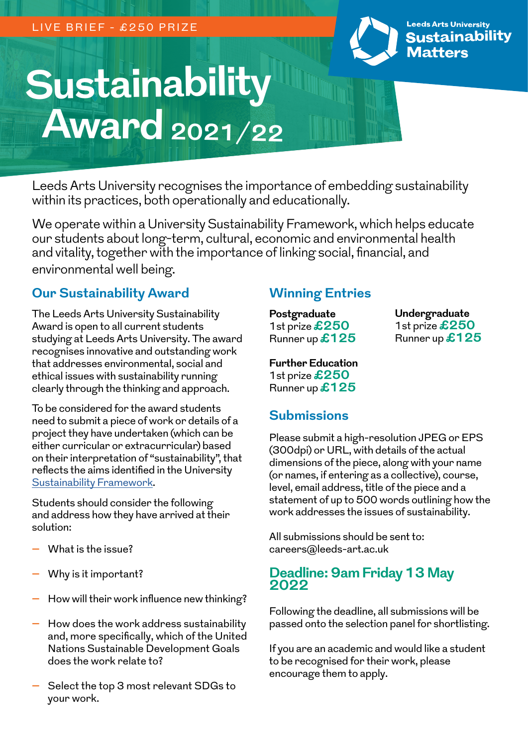

**Leeds Arts University Sustainability Matters** 

# **Sustainability Award 2021/22**

Leeds Arts University recognises the importance of embedding sustainability within its practices, both operationally and educationally.

We operate within a University Sustainability Framework, which helps educate our students about long-term, cultural, economic and environmental health and vitality, together with the importance of linking social, financial, and environmental well being.

#### **Our Sustainability Award**

The Leeds Arts University Sustainability Award is open to all current students studying at Leeds Arts University. The award recognises innovative and outstanding work that addresses environmental, social and ethical issues with sustainability running clearly through the thinking and approach.

To be considered for the award students need to submit a piece of work or details of a project they have undertaken (which can be either curricular or extracurricular) based on their interpretation of "sustainability", that reflects the aims identified in the University [Sustainability Framework](https://www.leeds-art.ac.uk/media/1492123/sustainability-framework.pdf).

Students should consider the following and address how they have arrived at their solution:

- **–** What is the issue?
- **–** Why is it important?
- **–** How will their work influence new thinking?
- **–** How does the work address sustainability and, more specifically, which of the United Nations Sustainable Development Goals does the work relate to?
- **–** Select the top 3 most relevant SDGs to your work.

# **Winning Entries**

**Postgraduate** 1st prize**£250** Runner up**£125**

**Undergraduate** 1st prize **£250** Runner up **£125**

**Further Education**  1st prize **£250** Runner up**£125**

### **Submissions**

Please submit a high-resolution JPEG or EPS (300dpi) or URL, with details of the actual dimensions of the piece, along with your name (or names, if entering as a collective), course, level, email address, title of the piece and a statement of up to 500 words outlining how the work addresses the issues of sustainability.

All submissions should be sent to: careers@leeds-art.ac.uk

#### **Deadline: 9am Friday 13 May 2022**

Following the deadline, all submissions will be passed onto the selection panel for shortlisting.

If you are an academic and would like a student to be recognised for their work, please encourage them to apply.